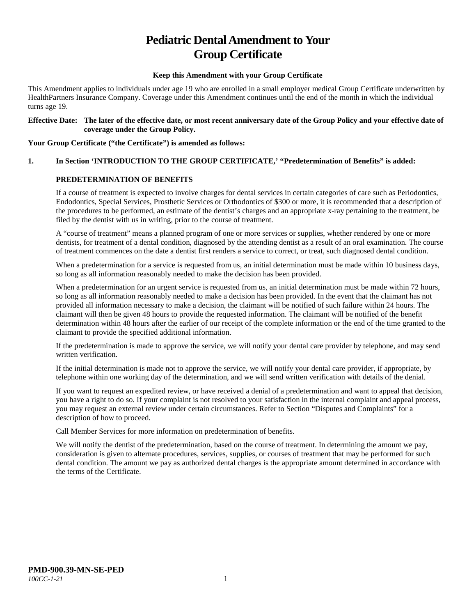# **Pediatric Dental Amendment to Your Group Certificate**

## **Keep this Amendment with your Group Certificate**

This Amendment applies to individuals under age 19 who are enrolled in a small employer medical Group Certificate underwritten by HealthPartners Insurance Company. Coverage under this Amendment continues until the end of the month in which the individual turns age 19.

#### **Effective Date: The later of the effective date, or most recent anniversary date of the Group Policy and your effective date of coverage under the Group Policy.**

#### **Your Group Certificate ("the Certificate") is amended as follows:**

# **1. In Section 'INTRODUCTION TO THE GROUP CERTIFICATE,' "Predetermination of Benefits" is added:**

# **PREDETERMINATION OF BENEFITS**

If a course of treatment is expected to involve charges for dental services in certain categories of care such as Periodontics, Endodontics, Special Services, Prosthetic Services or Orthodontics of \$300 or more, it is recommended that a description of the procedures to be performed, an estimate of the dentist's charges and an appropriate x-ray pertaining to the treatment, be filed by the dentist with us in writing, prior to the course of treatment.

A "course of treatment" means a planned program of one or more services or supplies, whether rendered by one or more dentists, for treatment of a dental condition, diagnosed by the attending dentist as a result of an oral examination. The course of treatment commences on the date a dentist first renders a service to correct, or treat, such diagnosed dental condition.

When a predetermination for a service is requested from us, an initial determination must be made within 10 business days, so long as all information reasonably needed to make the decision has been provided.

When a predetermination for an urgent service is requested from us, an initial determination must be made within 72 hours, so long as all information reasonably needed to make a decision has been provided. In the event that the claimant has not provided all information necessary to make a decision, the claimant will be notified of such failure within 24 hours. The claimant will then be given 48 hours to provide the requested information. The claimant will be notified of the benefit determination within 48 hours after the earlier of our receipt of the complete information or the end of the time granted to the claimant to provide the specified additional information.

If the predetermination is made to approve the service, we will notify your dental care provider by telephone, and may send written verification.

If the initial determination is made not to approve the service, we will notify your dental care provider, if appropriate, by telephone within one working day of the determination, and we will send written verification with details of the denial.

If you want to request an expedited review, or have received a denial of a predetermination and want to appeal that decision, you have a right to do so. If your complaint is not resolved to your satisfaction in the internal complaint and appeal process, you may request an external review under certain circumstances. Refer to Section "Disputes and Complaints" for a description of how to proceed.

Call Member Services for more information on predetermination of benefits.

We will notify the dentist of the predetermination, based on the course of treatment. In determining the amount we pay, consideration is given to alternate procedures, services, supplies, or courses of treatment that may be performed for such dental condition. The amount we pay as authorized dental charges is the appropriate amount determined in accordance with the terms of the Certificate.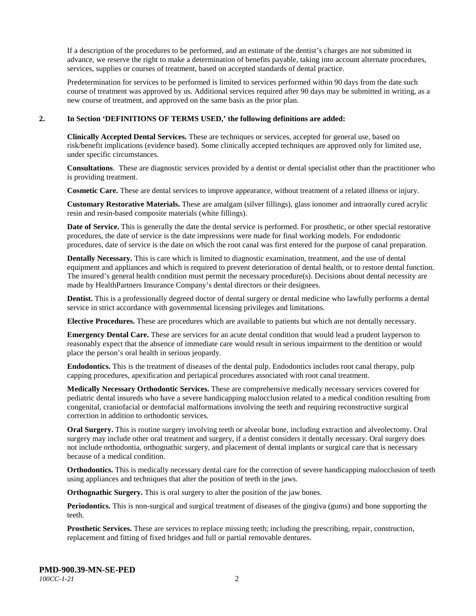If a description of the procedures to be performed, and an estimate of the dentist's charges are not submitted in advance, we reserve the right to make a determination of benefits payable, taking into account alternate procedures, services, supplies or courses of treatment, based on accepted standards of dental practice.

Predetermination for services to be performed is limited to services performed within 90 days from the date such course of treatment was approved by us. Additional services required after 90 days may be submitted in writing, as a new course of treatment, and approved on the same basis as the prior plan.

#### **2. In Section 'DEFINITIONS OF TERMS USED,' the following definitions are added:**

**Clinically Accepted Dental Services.** These are techniques or services, accepted for general use, based on risk/benefit implications (evidence based). Some clinically accepted techniques are approved only for limited use, under specific circumstances.

**Consultations**. These are diagnostic services provided by a dentist or dental specialist other than the practitioner who is providing treatment.

**Cosmetic Care.** These are dental services to improve appearance, without treatment of a related illness or injury.

**Customary Restorative Materials.** These are amalgam (silver fillings), glass ionomer and intraorally cured acrylic resin and resin-based composite materials (white fillings).

**Date of Service.** This is generally the date the dental service is performed. For prosthetic, or other special restorative procedures, the date of service is the date impressions were made for final working models. For endodontic procedures, date of service is the date on which the root canal was first entered for the purpose of canal preparation.

**Dentally Necessary.** This is care which is limited to diagnostic examination, treatment, and the use of dental equipment and appliances and which is required to prevent deterioration of dental health, or to restore dental function. The insured's general health condition must permit the necessary procedure(s). Decisions about dental necessity are made by HealthPartners Insurance Company's dental directors or their designees.

**Dentist.** This is a professionally degreed doctor of dental surgery or dental medicine who lawfully performs a dental service in strict accordance with governmental licensing privileges and limitations.

**Elective Procedures.** These are procedures which are available to patients but which are not dentally necessary.

**Emergency Dental Care.** These are services for an acute dental condition that would lead a prudent layperson to reasonably expect that the absence of immediate care would result in serious impairment to the dentition or would place the person's oral health in serious jeopardy.

**Endodontics.** This is the treatment of diseases of the dental pulp. Endodontics includes root canal therapy, pulp capping procedures, apexification and periapical procedures associated with root canal treatment.

**Medically Necessary Orthodontic Services.** These are comprehensive medically necessary services covered for pediatric dental insureds who have a severe handicapping malocclusion related to a medical condition resulting from congenital, craniofacial or dentofacial malformations involving the teeth and requiring reconstructive surgical correction in addition to orthodontic services.

**Oral Surgery.** This is routine surgery involving teeth or alveolar bone, including extraction and alveolectomy. Oral surgery may include other oral treatment and surgery, if a dentist considers it dentally necessary. Oral surgery does not include orthodontia, orthognathic surgery, and placement of dental implants or surgical care that is necessary because of a medical condition.

**Orthodontics.** This is medically necessary dental care for the correction of severe handicapping malocclusion of teeth using appliances and techniques that alter the position of teeth in the jaws.

**Orthognathic Surgery.** This is oral surgery to alter the position of the jaw bones.

**Periodontics.** This is non-surgical and surgical treatment of diseases of the gingiva (gums) and bone supporting the teeth.

**Prosthetic Services.** These are services to replace missing teeth; including the prescribing, repair, construction, replacement and fitting of fixed bridges and full or partial removable dentures.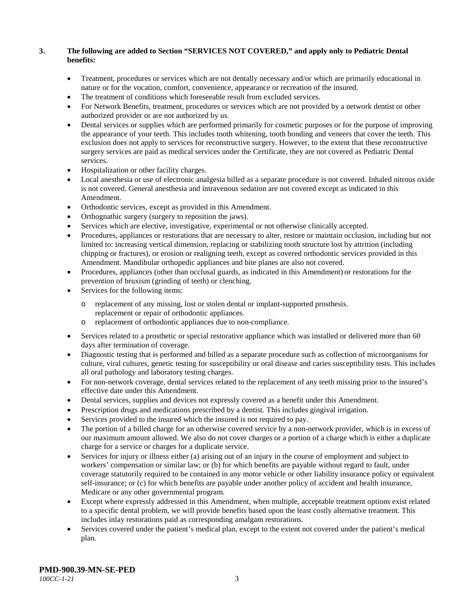# **3. The following are added to Section "SERVICES NOT COVERED," and apply only to Pediatric Dental benefits:**

- Treatment, procedures or services which are not dentally necessary and/or which are primarily educational in nature or for the vocation, comfort, convenience, appearance or recreation of the insured.
- The treatment of conditions which foreseeable result from excluded services.
- For Network Benefits, treatment, procedures or services which are not provided by a network dentist or other authorized provider or are not authorized by us.
- Dental services or supplies which are performed primarily for cosmetic purposes or for the purpose of improving the appearance of your teeth. This includes tooth whitening, tooth bonding and veneers that cover the teeth. This exclusion does not apply to services for reconstructive surgery. However, to the extent that these reconstructive surgery services are paid as medical services under the Certificate, they are not covered as Pediatric Dental services.
- Hospitalization or other facility charges.
- Local anesthesia or use of electronic analgesia billed as a separate procedure is not covered. Inhaled nitrous oxide is not covered. General anesthesia and intravenous sedation are not covered except as indicated in this Amendment.
- Orthodontic services, except as provided in this Amendment.
- Orthognathic surgery (surgery to reposition the jaws).
- Services which are elective, investigative, experimental or not otherwise clinically accepted.
- Procedures, appliances or restorations that are necessary to alter, restore or maintain occlusion, including but not limited to: increasing vertical dimension, replacing or stabilizing tooth structure lost by attrition (including chipping or fractures), or erosion or realigning teeth, except as covered orthodontic services provided in this Amendment. Mandibular orthopedic appliances and bite planes are also not covered.
- Procedures, appliances (other than occlusal guards, as indicated in this Amendment) or restorations for the prevention of bruxism (grinding of teeth) or clenching.
- Services for the following items:
	- o replacement of any missing, lost or stolen dental or implant-supported prosthesis. replacement or repair of orthodontic appliances.
	- o replacement of orthodontic appliances due to non-compliance.
- Services related to a prosthetic or special restorative appliance which was installed or delivered more than 60 days after termination of coverage.
- Diagnostic testing that is performed and billed as a separate procedure such as collection of microorganisms for culture, viral cultures, genetic testing for susceptibility or oral disease and caries susceptibility tests. This includes all oral pathology and laboratory testing charges.
- For non-network coverage, dental services related to the replacement of any teeth missing prior to the insured's effective date under this Amendment.
- Dental services, supplies and devices not expressly covered as a benefit under this Amendment.
- Prescription drugs and medications prescribed by a dentist. This includes gingival irrigation.
- Services provided to the insured which the insured is not required to pay.
- The portion of a billed charge for an otherwise covered service by a non-network provider, which is in excess of our maximum amount allowed. We also do not cover charges or a portion of a charge which is either a duplicate charge for a service or charges for a duplicate service.
- Services for injury or illness either (a) arising out of an injury in the course of employment and subject to workers' compensation or similar law; or (b) for which benefits are payable without regard to fault, under coverage statutorily required to be contained in any motor vehicle or other liability insurance policy or equivalent self-insurance; or (c) for which benefits are payable under another policy of accident and health insurance, Medicare or any other governmental program.
- Except where expressly addressed in this Amendment, when multiple, acceptable treatment options exist related to a specific dental problem, we will provide benefits based upon the least costly alternative treatment. This includes inlay restorations paid as corresponding amalgam restorations.
- Services covered under the patient's medical plan, except to the extent not covered under the patient's medical plan.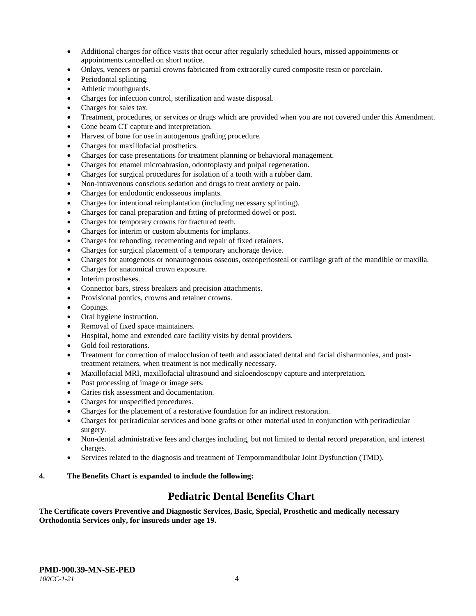- Additional charges for office visits that occur after regularly scheduled hours, missed appointments or appointments cancelled on short notice.
- Onlays, veneers or partial crowns fabricated from extraorally cured composite resin or porcelain.
- Periodontal splinting.
- Athletic mouthguards.
- Charges for infection control, sterilization and waste disposal.
- Charges for sales tax.
- Treatment, procedures, or services or drugs which are provided when you are not covered under this Amendment.
- Cone beam CT capture and interpretation.
- Harvest of bone for use in autogenous grafting procedure.
- Charges for maxillofacial prosthetics.
- Charges for case presentations for treatment planning or behavioral management.
- Charges for enamel microabrasion, odontoplasty and pulpal regeneration.
- Charges for surgical procedures for isolation of a tooth with a rubber dam.
- Non-intravenous conscious sedation and drugs to treat anxiety or pain.
- Charges for endodontic endosseous implants.
- Charges for intentional reimplantation (including necessary splinting).
- Charges for canal preparation and fitting of preformed dowel or post.
- Charges for temporary crowns for fractured teeth.
- Charges for interim or custom abutments for implants.
- Charges for rebonding, recementing and repair of fixed retainers.
- Charges for surgical placement of a temporary anchorage device.
- Charges for autogenous or nonautogenous osseous, osteoperiosteal or cartilage graft of the mandible or maxilla.
- Charges for anatomical crown exposure.
- Interim prostheses.
- Connector bars, stress breakers and precision attachments.
- Provisional pontics, crowns and retainer crowns.
- Copings.
- Oral hygiene instruction.
- Removal of fixed space maintainers.
- Hospital, home and extended care facility visits by dental providers.
- Gold foil restorations.
- Treatment for correction of malocclusion of teeth and associated dental and facial disharmonies, and posttreatment retainers, when treatment is not medically necessary.
- Maxillofacial MRI, maxillofacial ultrasound and sialoendoscopy capture and interpretation.
- Post processing of image or image sets.
- Caries risk assessment and documentation.
- Charges for unspecified procedures.
- Charges for the placement of a restorative foundation for an indirect restoration.
- Charges for periradicular services and bone grafts or other material used in conjunction with periradicular surgery.
- Non-dental administrative fees and charges including, but not limited to dental record preparation, and interest charges.
- Services related to the diagnosis and treatment of Temporomandibular Joint Dysfunction (TMD).

#### **4. The Benefits Chart is expanded to include the following:**

# **Pediatric Dental Benefits Chart**

**The Certificate covers Preventive and Diagnostic Services, Basic, Special, Prosthetic and medically necessary Orthodontia Services only, for insureds under age 19.**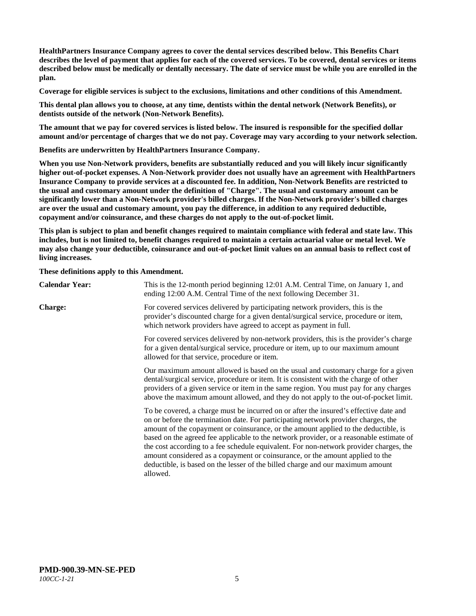**HealthPartners Insurance Company agrees to cover the dental services described below. This Benefits Chart describes the level of payment that applies for each of the covered services. To be covered, dental services or items described below must be medically or dentally necessary. The date of service must be while you are enrolled in the plan.**

**Coverage for eligible services is subject to the exclusions, limitations and other conditions of this Amendment.**

**This dental plan allows you to choose, at any time, dentists within the dental network (Network Benefits), or dentists outside of the network (Non-Network Benefits).**

**The amount that we pay for covered services is listed below. The insured is responsible for the specified dollar amount and/or percentage of charges that we do not pay. Coverage may vary according to your network selection.**

**Benefits are underwritten by HealthPartners Insurance Company.**

**When you use Non-Network providers, benefits are substantially reduced and you will likely incur significantly higher out-of-pocket expenses. A Non-Network provider does not usually have an agreement with HealthPartners Insurance Company to provide services at a discounted fee. In addition, Non-Network Benefits are restricted to the usual and customary amount under the definition of "Charge". The usual and customary amount can be significantly lower than a Non-Network provider's billed charges. If the Non-Network provider's billed charges are over the usual and customary amount, you pay the difference, in addition to any required deductible, copayment and/or coinsurance, and these charges do not apply to the out-of-pocket limit.**

**This plan is subject to plan and benefit changes required to maintain compliance with federal and state law. This includes, but is not limited to, benefit changes required to maintain a certain actuarial value or metal level. We may also change your deductible, coinsurance and out-of-pocket limit values on an annual basis to reflect cost of living increases.**

**These definitions apply to this Amendment.**

| <b>Calendar Year:</b> | This is the 12-month period beginning 12:01 A.M. Central Time, on January 1, and<br>ending 12:00 A.M. Central Time of the next following December 31.                                                                                                                                                                                                                                                                                                                                                                                                                                                                                  |
|-----------------------|----------------------------------------------------------------------------------------------------------------------------------------------------------------------------------------------------------------------------------------------------------------------------------------------------------------------------------------------------------------------------------------------------------------------------------------------------------------------------------------------------------------------------------------------------------------------------------------------------------------------------------------|
| <b>Charge:</b>        | For covered services delivered by participating network providers, this is the<br>provider's discounted charge for a given dental/surgical service, procedure or item,<br>which network providers have agreed to accept as payment in full.                                                                                                                                                                                                                                                                                                                                                                                            |
|                       | For covered services delivered by non-network providers, this is the provider's charge<br>for a given dental/surgical service, procedure or item, up to our maximum amount<br>allowed for that service, procedure or item.                                                                                                                                                                                                                                                                                                                                                                                                             |
|                       | Our maximum amount allowed is based on the usual and customary charge for a given<br>dental/surgical service, procedure or item. It is consistent with the charge of other<br>providers of a given service or item in the same region. You must pay for any charges<br>above the maximum amount allowed, and they do not apply to the out-of-pocket limit.                                                                                                                                                                                                                                                                             |
|                       | To be covered, a charge must be incurred on or after the insured's effective date and<br>on or before the termination date. For participating network provider charges, the<br>amount of the copayment or coinsurance, or the amount applied to the deductible, is<br>based on the agreed fee applicable to the network provider, or a reasonable estimate of<br>the cost according to a fee schedule equivalent. For non-network provider charges, the<br>amount considered as a copayment or coinsurance, or the amount applied to the<br>deductible, is based on the lesser of the billed charge and our maximum amount<br>allowed. |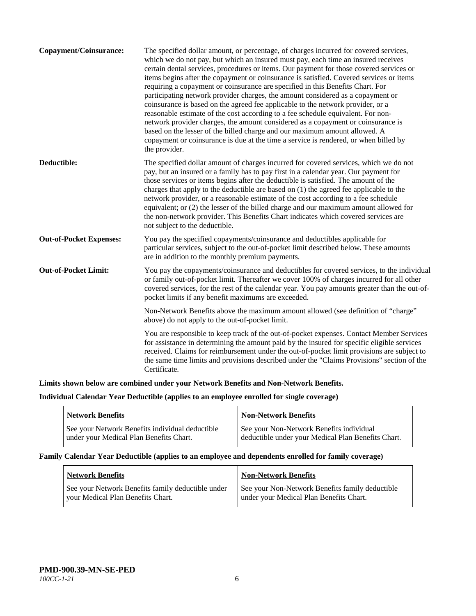| Copayment/Coinsurance:         | The specified dollar amount, or percentage, of charges incurred for covered services,<br>which we do not pay, but which an insured must pay, each time an insured receives<br>certain dental services, procedures or items. Our payment for those covered services or<br>items begins after the copayment or coinsurance is satisfied. Covered services or items<br>requiring a copayment or coinsurance are specified in this Benefits Chart. For<br>participating network provider charges, the amount considered as a copayment or<br>coinsurance is based on the agreed fee applicable to the network provider, or a<br>reasonable estimate of the cost according to a fee schedule equivalent. For non-<br>network provider charges, the amount considered as a copayment or coinsurance is<br>based on the lesser of the billed charge and our maximum amount allowed. A<br>copayment or coinsurance is due at the time a service is rendered, or when billed by<br>the provider. |
|--------------------------------|-----------------------------------------------------------------------------------------------------------------------------------------------------------------------------------------------------------------------------------------------------------------------------------------------------------------------------------------------------------------------------------------------------------------------------------------------------------------------------------------------------------------------------------------------------------------------------------------------------------------------------------------------------------------------------------------------------------------------------------------------------------------------------------------------------------------------------------------------------------------------------------------------------------------------------------------------------------------------------------------|
| Deductible:                    | The specified dollar amount of charges incurred for covered services, which we do not<br>pay, but an insured or a family has to pay first in a calendar year. Our payment for<br>those services or items begins after the deductible is satisfied. The amount of the<br>charges that apply to the deductible are based on (1) the agreed fee applicable to the<br>network provider, or a reasonable estimate of the cost according to a fee schedule<br>equivalent; or (2) the lesser of the billed charge and our maximum amount allowed for<br>the non-network provider. This Benefits Chart indicates which covered services are<br>not subject to the deductible.                                                                                                                                                                                                                                                                                                                   |
| <b>Out-of-Pocket Expenses:</b> | You pay the specified copayments/coinsurance and deductibles applicable for<br>particular services, subject to the out-of-pocket limit described below. These amounts<br>are in addition to the monthly premium payments.                                                                                                                                                                                                                                                                                                                                                                                                                                                                                                                                                                                                                                                                                                                                                               |
| <b>Out-of-Pocket Limit:</b>    | You pay the copayments/coinsurance and deductibles for covered services, to the individual<br>or family out-of-pocket limit. Thereafter we cover 100% of charges incurred for all other<br>covered services, for the rest of the calendar year. You pay amounts greater than the out-of-<br>pocket limits if any benefit maximums are exceeded.                                                                                                                                                                                                                                                                                                                                                                                                                                                                                                                                                                                                                                         |
|                                | Non-Network Benefits above the maximum amount allowed (see definition of "charge"<br>above) do not apply to the out-of-pocket limit.                                                                                                                                                                                                                                                                                                                                                                                                                                                                                                                                                                                                                                                                                                                                                                                                                                                    |
|                                | You are responsible to keep track of the out-of-pocket expenses. Contact Member Services<br>for assistance in determining the amount paid by the insured for specific eligible services<br>received. Claims for reimbursement under the out-of-pocket limit provisions are subject to<br>the same time limits and provisions described under the "Claims Provisions" section of the<br>Certificate.                                                                                                                                                                                                                                                                                                                                                                                                                                                                                                                                                                                     |

# **Limits shown below are combined under your Network Benefits and Non-Network Benefits.**

# **Individual Calendar Year Deductible (applies to an employee enrolled for single coverage)**

| <b>Network Benefits</b>                         | <b>Non-Network Benefits</b>                        |
|-------------------------------------------------|----------------------------------------------------|
| See your Network Benefits individual deductible | See your Non-Network Benefits individual           |
| under your Medical Plan Benefits Chart.         | deductible under your Medical Plan Benefits Chart. |

#### **Family Calendar Year Deductible (applies to an employee and dependents enrolled for family coverage)**

| <b>Network Benefits</b>                                                                | <b>Non-Network Benefits</b>                                                                |
|----------------------------------------------------------------------------------------|--------------------------------------------------------------------------------------------|
| See your Network Benefits family deductible under<br>vour Medical Plan Benefits Chart. | See your Non-Network Benefits family deductible<br>under your Medical Plan Benefits Chart. |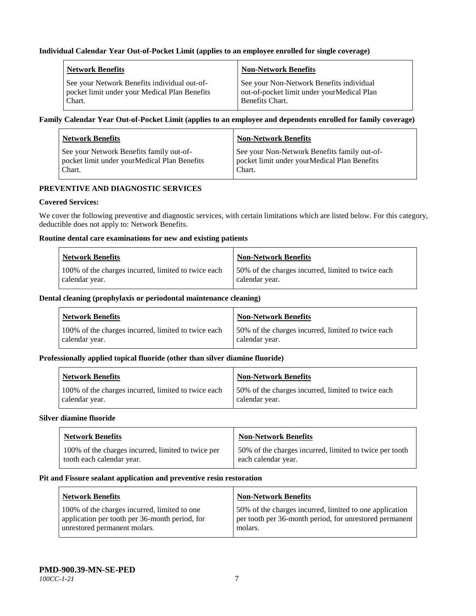## **Individual Calendar Year Out-of-Pocket Limit (applies to an employee enrolled for single coverage)**

| <b>Network Benefits</b>                       | <b>Non-Network Benefits</b>                |
|-----------------------------------------------|--------------------------------------------|
| See your Network Benefits individual out-of-  | See your Non-Network Benefits individual   |
| pocket limit under your Medical Plan Benefits | out-of-pocket limit under yourMedical Plan |
| Chart.                                        | Benefits Chart.                            |

# **Family Calendar Year Out-of-Pocket Limit (applies to an employee and dependents enrolled for family coverage)**

| <b>Network Benefits</b>                      | <b>Non-Network Benefits</b>                  |
|----------------------------------------------|----------------------------------------------|
| See your Network Benefits family out-of-     | See your Non-Network Benefits family out-of- |
| pocket limit under yourMedical Plan Benefits | pocket limit under yourMedical Plan Benefits |
| Chart.                                       | Chart.                                       |

# **PREVENTIVE AND DIAGNOSTIC SERVICES**

#### **Covered Services:**

We cover the following preventive and diagnostic services, with certain limitations which are listed below. For this category, deductible does not apply to: Network Benefits.

#### **Routine dental care examinations for new and existing patients**

| <b>Network Benefits</b>                             | <b>Non-Network Benefits</b>                        |
|-----------------------------------------------------|----------------------------------------------------|
| 100% of the charges incurred, limited to twice each | 50% of the charges incurred, limited to twice each |
| calendar year.                                      | calendar year.                                     |

#### **Dental cleaning (prophylaxis or periodontal maintenance cleaning)**

| <b>Network Benefits</b>                             | <b>Non-Network Benefits</b>                        |
|-----------------------------------------------------|----------------------------------------------------|
| 100% of the charges incurred, limited to twice each | 50% of the charges incurred, limited to twice each |
| calendar year.                                      | calendar year.                                     |

#### **Professionally applied topical fluoride (other than silver diamine fluoride)**

| <b>Network Benefits</b>                             | <b>Non-Network Benefits</b>                         |
|-----------------------------------------------------|-----------------------------------------------------|
| 100% of the charges incurred, limited to twice each | 150% of the charges incurred, limited to twice each |
| calendar year.                                      | calendar year.                                      |

#### **Silver diamine fluoride**

| <b>Network Benefits</b>                            | <b>Non-Network Benefits</b>                             |
|----------------------------------------------------|---------------------------------------------------------|
| 100% of the charges incurred, limited to twice per | 50% of the charges incurred, limited to twice per tooth |
| tooth each calendar year.                          | each calendar year.                                     |

#### **Pit and Fissure sealant application and preventive resin restoration**

| Network Benefits                               | <b>Non-Network Benefits</b>                             |
|------------------------------------------------|---------------------------------------------------------|
| 100% of the charges incurred, limited to one   | 50% of the charges incurred, limited to one application |
| application per tooth per 36-month period, for | per tooth per 36-month period, for unrestored permanent |
| unrestored permanent molars.                   | molars.                                                 |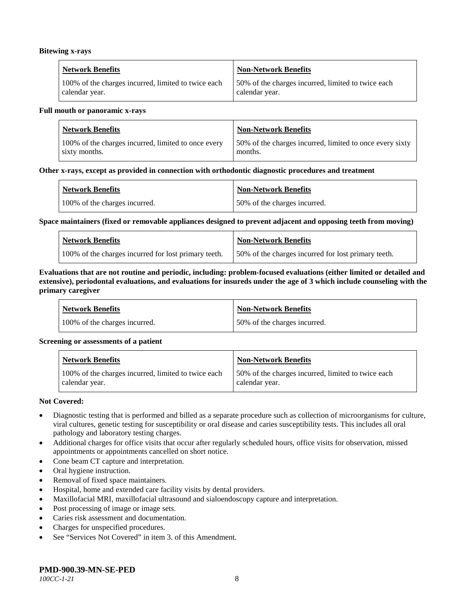#### **Bitewing x-rays**

| <b>Network Benefits</b>                             | Non-Network Benefits                               |
|-----------------------------------------------------|----------------------------------------------------|
| 100% of the charges incurred, limited to twice each | 50% of the charges incurred, limited to twice each |
| calendar year.                                      | calendar year.                                     |

#### **Full mouth or panoramic x-rays**

| <b>Network Benefits</b>                             | <b>Non-Network Benefits</b>                              |
|-----------------------------------------------------|----------------------------------------------------------|
| 100% of the charges incurred, limited to once every | 50% of the charges incurred, limited to once every sixty |
| sixty months.                                       | months.                                                  |

#### **Other x-rays, except as provided in connection with orthodontic diagnostic procedures and treatment**

| <b>Network Benefits</b>       | <b>Non-Network Benefits</b>  |
|-------------------------------|------------------------------|
| 100% of the charges incurred. | 50% of the charges incurred. |

#### **Space maintainers (fixed or removable appliances designed to prevent adjacent and opposing teeth from moving)**

| <b>Network Benefits</b>                              | Non-Network Benefits                                |
|------------------------------------------------------|-----------------------------------------------------|
| 100% of the charges incurred for lost primary teeth. | 50% of the charges incurred for lost primary teeth. |

#### **Evaluations that are not routine and periodic, including: problem-focused evaluations (either limited or detailed and extensive), periodontal evaluations, and evaluations for insureds under the age of 3 which include counseling with the primary caregiver**

| <b>Network Benefits</b>       | <b>Non-Network Benefits</b>  |
|-------------------------------|------------------------------|
| 100% of the charges incurred. | 50% of the charges incurred. |

#### **Screening or assessments of a patient**

| <b>Network Benefits</b>                                               | Non-Network Benefits                                                 |
|-----------------------------------------------------------------------|----------------------------------------------------------------------|
| 100% of the charges incurred, limited to twice each<br>calendar year. | 50% of the charges incurred, limited to twice each<br>calendar year. |

#### **Not Covered:**

- Diagnostic testing that is performed and billed as a separate procedure such as collection of microorganisms for culture, viral cultures, genetic testing for susceptibility or oral disease and caries susceptibility tests. This includes all oral pathology and laboratory testing charges.
- Additional charges for office visits that occur after regularly scheduled hours, office visits for observation, missed appointments or appointments cancelled on short notice.
- Cone beam CT capture and interpretation.
- Oral hygiene instruction.
- Removal of fixed space maintainers.
- Hospital, home and extended care facility visits by dental providers.
- Maxillofacial MRI, maxillofacial ultrasound and sialoendoscopy capture and interpretation.
- Post processing of image or image sets.
- Caries risk assessment and documentation.
- Charges for unspecified procedures.
- See "Services Not Covered" in item 3. of this Amendment.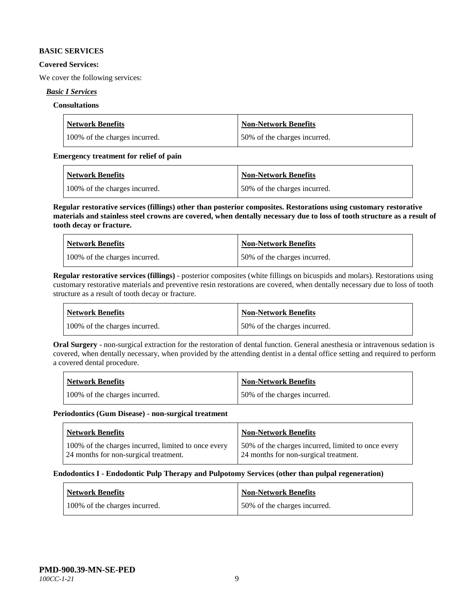#### **BASIC SERVICES**

#### **Covered Services:**

We cover the following services:

# *Basic I Services*

## **Consultations**

| <b>Network Benefits</b>       | <b>Non-Network Benefits</b>  |
|-------------------------------|------------------------------|
| 100% of the charges incurred. | 50% of the charges incurred. |

## **Emergency treatment for relief of pain**

| <b>Network Benefits</b>       | <b>Non-Network Benefits</b>  |
|-------------------------------|------------------------------|
| 100% of the charges incurred. | 50% of the charges incurred. |

**Regular restorative services (fillings) other than posterior composites. Restorations using customary restorative materials and stainless steel crowns are covered, when dentally necessary due to loss of tooth structure as a result of tooth decay or fracture.**

| <b>Network Benefits</b>       | <b>Non-Network Benefits</b>   |
|-------------------------------|-------------------------------|
| 100% of the charges incurred. | 150% of the charges incurred. |

**Regular restorative services (fillings)** - posterior composites (white fillings on bicuspids and molars). Restorations using customary restorative materials and preventive resin restorations are covered, when dentally necessary due to loss of tooth structure as a result of tooth decay or fracture.

| Network Benefits              | Non-Network Benefits          |
|-------------------------------|-------------------------------|
| 100% of the charges incurred. | 150% of the charges incurred. |

**Oral Surgery** - non-surgical extraction for the restoration of dental function. General anesthesia or intravenous sedation is covered, when dentally necessary, when provided by the attending dentist in a dental office setting and required to perform a covered dental procedure.

| <b>Network Benefits</b>       | <b>Non-Network Benefits</b>  |
|-------------------------------|------------------------------|
| 100% of the charges incurred. | 50% of the charges incurred. |

#### **Periodontics (Gum Disease) - non-surgical treatment**

| Network Benefits                                                                             | <b>Non-Network Benefits</b>                                                                 |
|----------------------------------------------------------------------------------------------|---------------------------------------------------------------------------------------------|
| 100% of the charges incurred, limited to once every<br>24 months for non-surgical treatment. | 50% of the charges incurred, limited to once every<br>24 months for non-surgical treatment. |

#### **Endodontics I - Endodontic Pulp Therapy and Pulpotomy Services (other than pulpal regeneration)**

| <b>Network Benefits</b>       | <b>Non-Network Benefits</b>  |
|-------------------------------|------------------------------|
| 100% of the charges incurred. | 50% of the charges incurred. |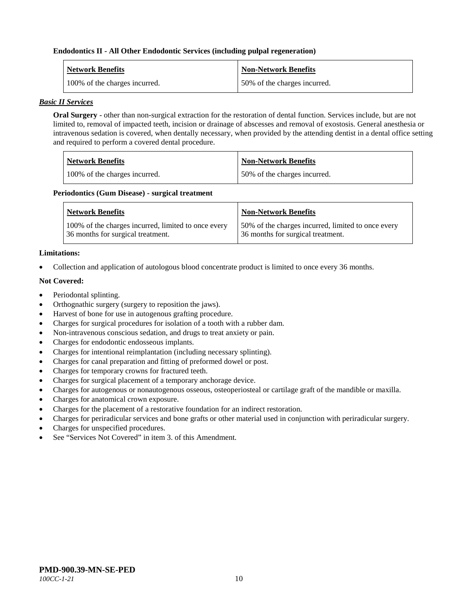#### **Endodontics II - All Other Endodontic Services (including pulpal regeneration)**

| <b>Network Benefits</b>       | <b>Non-Network Benefits</b>  |
|-------------------------------|------------------------------|
| 100% of the charges incurred. | 50% of the charges incurred. |

#### *Basic II Services*

**Oral Surgery** - other than non-surgical extraction for the restoration of dental function. Services include, but are not limited to, removal of impacted teeth, incision or drainage of abscesses and removal of exostosis. General anesthesia or intravenous sedation is covered, when dentally necessary, when provided by the attending dentist in a dental office setting and required to perform a covered dental procedure.

| Network Benefits              | <b>Non-Network Benefits</b>  |
|-------------------------------|------------------------------|
| 100% of the charges incurred. | 50% of the charges incurred. |

#### **Periodontics (Gum Disease) - surgical treatment**

| <b>Network Benefits</b>                                                                  | <b>Non-Network Benefits</b>                                                             |
|------------------------------------------------------------------------------------------|-----------------------------------------------------------------------------------------|
| 100% of the charges incurred, limited to once every<br>36 months for surgical treatment. | 50% of the charges incurred, limited to once every<br>36 months for surgical treatment. |

# **Limitations:**

• Collection and application of autologous blood concentrate product is limited to once every 36 months.

# **Not Covered:**

- Periodontal splinting.
- Orthognathic surgery (surgery to reposition the jaws).
- Harvest of bone for use in autogenous grafting procedure.
- Charges for surgical procedures for isolation of a tooth with a rubber dam.
- Non-intravenous conscious sedation, and drugs to treat anxiety or pain.
- Charges for endodontic endosseous implants.
- Charges for intentional reimplantation (including necessary splinting).
- Charges for canal preparation and fitting of preformed dowel or post.
- Charges for temporary crowns for fractured teeth.
- Charges for surgical placement of a temporary anchorage device.
- Charges for autogenous or nonautogenous osseous, osteoperiosteal or cartilage graft of the mandible or maxilla.
- Charges for anatomical crown exposure.
- Charges for the placement of a restorative foundation for an indirect restoration.
- Charges for periradicular services and bone grafts or other material used in conjunction with periradicular surgery.
- Charges for unspecified procedures.
- See "Services Not Covered" in item 3, of this Amendment.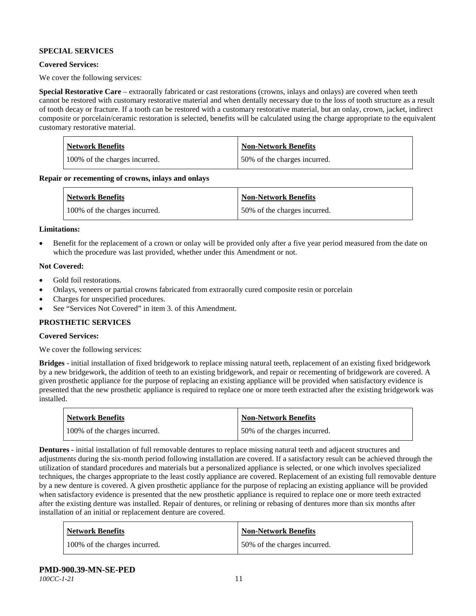# **SPECIAL SERVICES**

#### **Covered Services:**

We cover the following services:

**Special Restorative Care** – extraorally fabricated or cast restorations (crowns, inlays and onlays) are covered when teeth cannot be restored with customary restorative material and when dentally necessary due to the loss of tooth structure as a result of tooth decay or fracture. If a tooth can be restored with a customary restorative material, but an onlay, crown, jacket, indirect composite or porcelain/ceramic restoration is selected, benefits will be calculated using the charge appropriate to the equivalent customary restorative material.

| Network Benefits              | <b>Non-Network Benefits</b>  |
|-------------------------------|------------------------------|
| 100% of the charges incurred. | 50% of the charges incurred. |

**Repair or recementing of crowns, inlays and onlays**

| <b>Network Benefits</b>       | <b>Non-Network Benefits</b>  |
|-------------------------------|------------------------------|
| 100% of the charges incurred. | 50% of the charges incurred. |

#### **Limitations:**

• Benefit for the replacement of a crown or onlay will be provided only after a five year period measured from the date on which the procedure was last provided, whether under this Amendment or not.

#### **Not Covered:**

- Gold foil restorations.
- Onlays, veneers or partial crowns fabricated from extraorally cured composite resin or porcelain
- Charges for unspecified procedures.
- See "Services Not Covered" in item 3. of this Amendment.

#### **PROSTHETIC SERVICES**

# **Covered Services:**

We cover the following services:

**Bridges** - initial installation of fixed bridgework to replace missing natural teeth, replacement of an existing fixed bridgework by a new bridgework, the addition of teeth to an existing bridgework, and repair or recementing of bridgework are covered. A given prosthetic appliance for the purpose of replacing an existing appliance will be provided when satisfactory evidence is presented that the new prosthetic appliance is required to replace one or more teeth extracted after the existing bridgework was installed.

| <b>Network Benefits</b>       | <b>Non-Network Benefits</b>   |
|-------------------------------|-------------------------------|
| 100% of the charges incurred. | 150% of the charges incurred. |

**Dentures -** initial installation of full removable dentures to replace missing natural teeth and adjacent structures and adjustments during the six-month period following installation are covered. If a satisfactory result can be achieved through the utilization of standard procedures and materials but a personalized appliance is selected, or one which involves specialized techniques, the charges appropriate to the least costly appliance are covered. Replacement of an existing full removable denture by a new denture is covered. A given prosthetic appliance for the purpose of replacing an existing appliance will be provided when satisfactory evidence is presented that the new prosthetic appliance is required to replace one or more teeth extracted after the existing denture was installed. Repair of dentures, or relining or rebasing of dentures more than six months after installation of an initial or replacement denture are covered.

| <b>Network Benefits</b>       | <b>Non-Network Benefits</b>  |
|-------------------------------|------------------------------|
| 100% of the charges incurred. | 50% of the charges incurred. |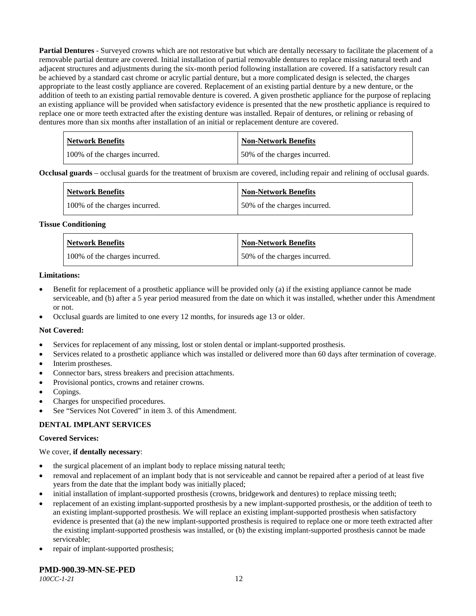**Partial Dentures** - Surveyed crowns which are not restorative but which are dentally necessary to facilitate the placement of a removable partial denture are covered. Initial installation of partial removable dentures to replace missing natural teeth and adjacent structures and adjustments during the six-month period following installation are covered. If a satisfactory result can be achieved by a standard cast chrome or acrylic partial denture, but a more complicated design is selected, the charges appropriate to the least costly appliance are covered. Replacement of an existing partial denture by a new denture, or the addition of teeth to an existing partial removable denture is covered. A given prosthetic appliance for the purpose of replacing an existing appliance will be provided when satisfactory evidence is presented that the new prosthetic appliance is required to replace one or more teeth extracted after the existing denture was installed. Repair of dentures, or relining or rebasing of dentures more than six months after installation of an initial or replacement denture are covered.

| <b>Network Benefits</b>       | <b>Non-Network Benefits</b>  |
|-------------------------------|------------------------------|
| 100% of the charges incurred. | 50% of the charges incurred. |

**Occlusal guards** – occlusal guards for the treatment of bruxism are covered, including repair and relining of occlusal guards.

| <b>Network Benefits</b>       | <b>Non-Network Benefits</b>  |
|-------------------------------|------------------------------|
| 100% of the charges incurred. | 50% of the charges incurred. |

#### **Tissue Conditioning**

| <b>Network Benefits</b>       | <b>Non-Network Benefits</b>  |
|-------------------------------|------------------------------|
| 100% of the charges incurred. | 50% of the charges incurred. |

#### **Limitations:**

- Benefit for replacement of a prosthetic appliance will be provided only (a) if the existing appliance cannot be made serviceable, and (b) after a 5 year period measured from the date on which it was installed, whether under this Amendment or not.
- Occlusal guards are limited to one every 12 months, for insureds age 13 or older.

#### **Not Covered:**

- Services for replacement of any missing, lost or stolen dental or implant-supported prosthesis.
- Services related to a prosthetic appliance which was installed or delivered more than 60 days after termination of coverage.
- Interim prostheses.
- Connector bars, stress breakers and precision attachments.
- Provisional pontics, crowns and retainer crowns.
- Copings.
- Charges for unspecified procedures.
- See "Services Not Covered" in item 3. of this Amendment.

#### **DENTAL IMPLANT SERVICES**

#### **Covered Services:**

#### We cover, **if dentally necessary**:

- the surgical placement of an implant body to replace missing natural teeth;
- removal and replacement of an implant body that is not serviceable and cannot be repaired after a period of at least five years from the date that the implant body was initially placed;
- initial installation of implant-supported prosthesis (crowns, bridgework and dentures) to replace missing teeth;
- replacement of an existing implant-supported prosthesis by a new implant-supported prosthesis, or the addition of teeth to an existing implant-supported prosthesis. We will replace an existing implant-supported prosthesis when satisfactory evidence is presented that (a) the new implant-supported prosthesis is required to replace one or more teeth extracted after the existing implant-supported prosthesis was installed, or (b) the existing implant-supported prosthesis cannot be made serviceable;
- repair of implant-supported prosthesis;

# **PMD-900.39-MN-SE-PED**

*100CC-1-21* 12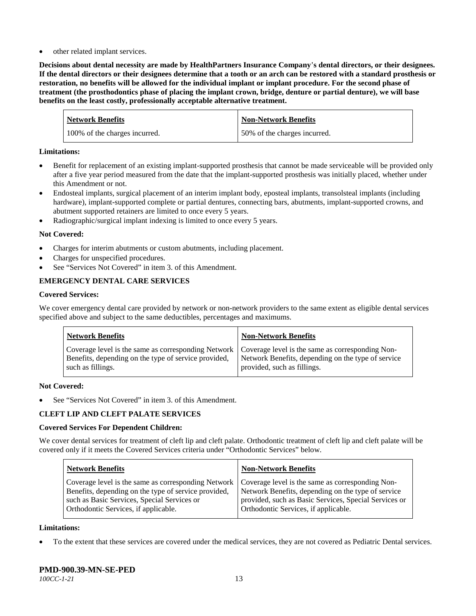other related implant services.

**Decisions about dental necessity are made by HealthPartners Insurance Company**'**s dental directors, or their designees. If the dental directors or their designees determine that a tooth or an arch can be restored with a standard prosthesis or restoration, no benefits will be allowed for the individual implant or implant procedure. For the second phase of treatment (the prosthodontics phase of placing the implant crown, bridge, denture or partial denture), we will base benefits on the least costly, professionally acceptable alternative treatment.**

| <b>Network Benefits</b>       | <b>Non-Network Benefits</b>  |
|-------------------------------|------------------------------|
| 100% of the charges incurred. | 50% of the charges incurred. |

#### **Limitations:**

- Benefit for replacement of an existing implant-supported prosthesis that cannot be made serviceable will be provided only after a five year period measured from the date that the implant-supported prosthesis was initially placed, whether under this Amendment or not.
- Endosteal implants, surgical placement of an interim implant body, eposteal implants, transolsteal implants (including hardware), implant-supported complete or partial dentures, connecting bars, abutments, implant-supported crowns, and abutment supported retainers are limited to once every 5 years.
- Radiographic/surgical implant indexing is limited to once every 5 years.

# **Not Covered:**

- Charges for interim abutments or custom abutments, including placement.
- Charges for unspecified procedures.
- See "Services Not Covered" in item 3. of this Amendment.

# **EMERGENCY DENTAL CARE SERVICES**

#### **Covered Services:**

We cover emergency dental care provided by network or non-network providers to the same extent as eligible dental services specified above and subject to the same deductibles, percentages and maximums.

| <b>Network Benefits</b>                                                                                                                                                             | <b>Non-Network Benefits</b>                                                       |
|-------------------------------------------------------------------------------------------------------------------------------------------------------------------------------------|-----------------------------------------------------------------------------------|
| Coverage level is the same as corresponding Network   Coverage level is the same as corresponding Non-<br>Benefits, depending on the type of service provided,<br>such as fillings. | Network Benefits, depending on the type of service<br>provided, such as fillings. |

#### **Not Covered:**

See "Services Not Covered" in item 3. of this Amendment.

# **CLEFT LIP AND CLEFT PALATE SERVICES**

#### **Covered Services For Dependent Children:**

We cover dental services for treatment of cleft lip and cleft palate. Orthodontic treatment of cleft lip and cleft palate will be covered only if it meets the Covered Services criteria under "Orthodontic Services" below.

| <b>Network Benefits</b>                              | <b>Non-Network Benefits</b>                           |
|------------------------------------------------------|-------------------------------------------------------|
| Coverage level is the same as corresponding Network  | Coverage level is the same as corresponding Non-      |
| Benefits, depending on the type of service provided, | Network Benefits, depending on the type of service    |
| such as Basic Services, Special Services or          | provided, such as Basic Services, Special Services or |
| Orthodontic Services, if applicable.                 | Orthodontic Services, if applicable.                  |

#### **Limitations:**

• To the extent that these services are covered under the medical services, they are not covered as Pediatric Dental services.